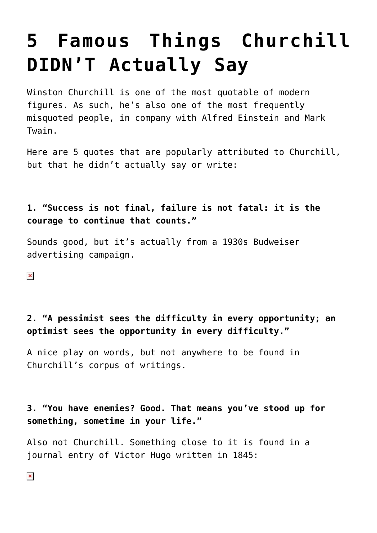# **[5 Famous Things Churchill](https://intellectualtakeout.org/2015/11/5-famous-things-churchill-didnt-actually-say/) [DIDN'T Actually Say](https://intellectualtakeout.org/2015/11/5-famous-things-churchill-didnt-actually-say/)**

Winston Churchill is one of the most quotable of modern figures. As such, he's also one of the most frequently misquoted people, in company with Alfred Einstein and Mark Twain.

Here are 5 quotes that are popularly attributed to Churchill, but that he didn't actually say or write:

## **1. "Success is not final, failure is not fatal: it is the courage to continue that counts."**

Sounds good, but it's actually from a 1930s Budweiser advertising campaign.

 $\pmb{\times}$ 

## **2. "A pessimist sees the difficulty in every opportunity; an optimist sees the opportunity in every difficulty."**

A nice play on words, but not anywhere to be found in Churchill's corpus of writings.

#### **3. "You have enemies? Good. That means you've stood up for something, sometime in your life."**

Also not Churchill. Something close to it is found in a journal entry of Victor Hugo written in 1845: